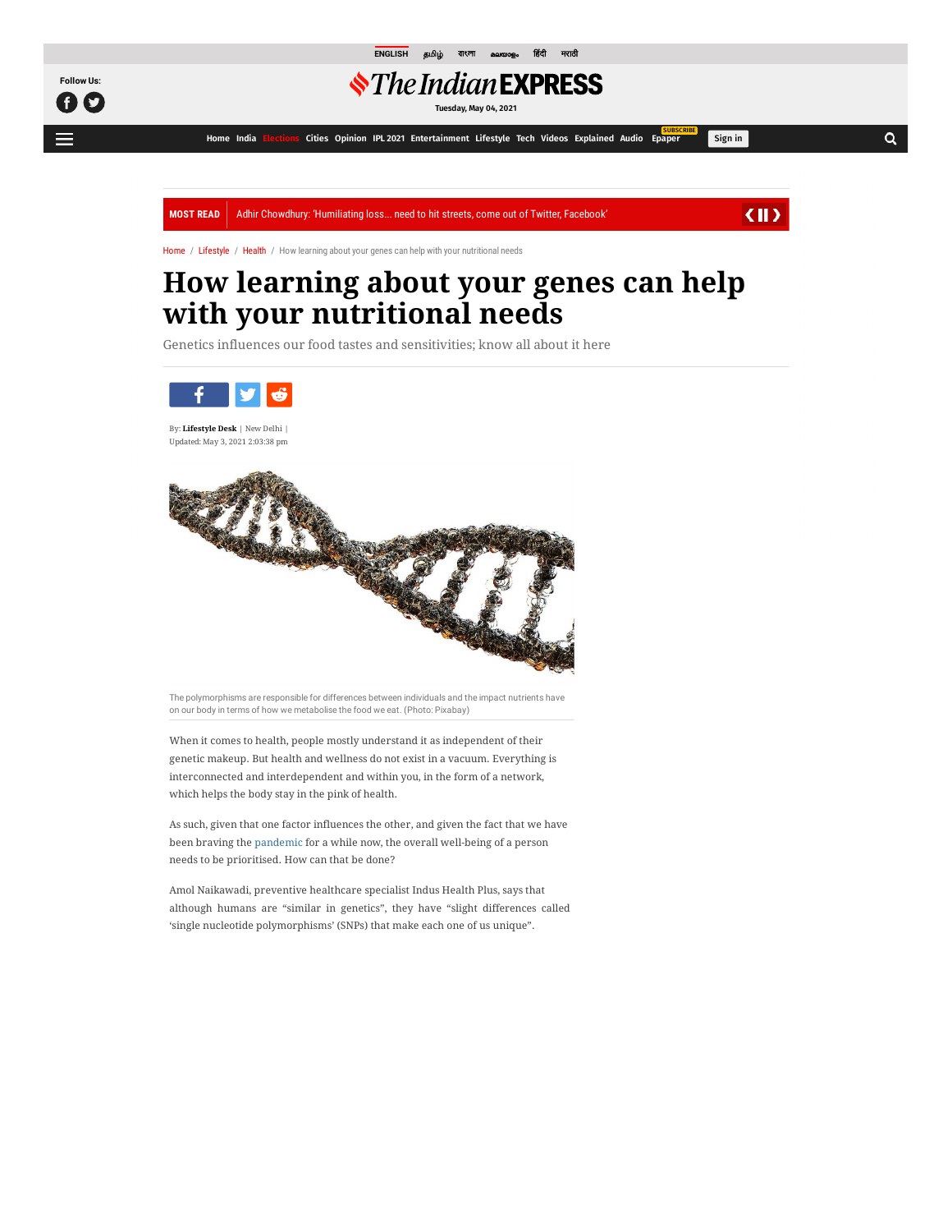

**[ENGLISH](https://indianexpress.com/)** [த](https://tamil.indianexpress.com/) [বাংলা](https://bengali.indianexpress.com/) [മലയാളം](https://malayalam.indianexpress.com/) [हदी](https://www.jansatta.com/) [मराठी](https://www.loksatta.com/)

## *<i><u>SThe Indian*</u> EXPRESS

**Tuesday, May 04, 2021**

**[Home](https://indianexpress.com/) [India](https://indianexpress.com/section/india/) [Elections](https://indianexpress.com/elections/) [Cities](https://indianexpress.com/section/cities/) [Opinion](https://indianexpress.com/section/opinion/) [IPL 2021](https://indianexpress.com/section/sports/ipl/) [Entertainment](https://indianexpress.com/section/entertainment/) [Lifestyle](https://indianexpress.com/section/lifestyle/) [Tech](https://indianexpress.com/section/technology/) [Videos](https://indianexpress.com/videos/) [Explained](https://indianexpress.com/section/explained/) [Audio](https://indianexpress.com/audio/) [Epaper](javascript:void(0);) SUBSCRIBE**

Q

Sign in

MOST READ | Adhir Chowdhury: 'Humiliating loss... ne[ed to hit streets, come out of Twitter, Facebook'](https://adclick.g.doubleclick.net/aclk?sa=l&ai=CRpAHmDuRYOHdIvugtOUPyb6jyA-Q2ezhYc3ZgaCZDfqWw8foDhABIIKd1gxg6QKgAeSx3NkDyAEGqAMBqgSyAk_Qg7xcYldJN7s6eN7M011vZ4CFpy2jIUXlNn_jOzgpzw3m23DgJGBndeSlsnu1PHT2VorCxT_dPmfSHnpVIs6kOu_Vz5FNHfT23cXSEhCB3WfGOmtHC7jXRogmEYXB-ThF59vQ76ia9PYQN1AqtTnV2t9Yev-qMlE6qWltKFJ92y5dHm_B5-0Sx0tw78uag9u0YXd27wmM51WZu1mGBtFjXGcCK6zJJgVtE1waR_aYThV8fApy4QJEV-NLh8S-tDouPIibVi5US15W4_qbyUzUc-2kpV2x_FaZltFQdfgAHlWMfSOicpl7TykLbtUG7J4867k_IvnlMcQWLBF-YD7ArS2pv7ukA6X0AkRD9ugQDXB20xYgvmY2fuRaxQI3hCN4_NH_6xZQqxUHhNaaddCh7cAEjcz92LgD-gUGCCUQARgAoAY3gAe8hNVmqAfw2RuoB_LZG6gHjs4bqAeT2BuoB7oGqAfulrECqAemvhuoB-zVG6gH89EbqAfs1RuoB5bYG9gHAcAIAdIIBwiAYRABGB-ACgGKCqgCaHR0cDovL2NsaWNrc2VydmUuZGFydHNlYXJjaC5uZXQvbGluay9jbGljaz9saWQ9NDM3MDAwNjE0MDE2Nzc3NjgmZHNfc19rd2dpZD01ODcwMDAwNjc4MzAyMTg2NSZkc19hX2NpZD0yMTU4MDY2ODYmZHNfYV9jYWlkPTEyNDIzOTgwMDQ0JmRzX2FfYWdpZD0xMTgyOTgyMDc3NTcmZHNfYV9maWlkPSZkc19hX2xpZD0mJmRzX2VfYWRpZD01MDIzMzc1MTU1ODQmZHNfZV9tYXRjaHR5cGU9Y29udGVudCZkc19lX2RldmljZT1jJmRzX2VfbmV0d29yaz1kJiZkc191cmxfdj0yJmRzX2Rlc3RfdXJsPXt1bmVzY2FwZWRscHVybH2QCwOYCwHICwHgCwG4DAHYEw2IFAM&ae=1&num=1&sig=AOD64_0XcEXjFFkE7PR4riLsfgKYHnATtQ&nb=0&adurl=https://id.iherb.com/pr/Universal-Nutrition-Animal-Pak-Training-Powder-Cherry-Berry-369-g/72947%3Frcode%3Dmkt1047%26ccode%3DID%26currcode%3DIDR%26langcode%3Den-US%26fld%3D1%26gclsrc%3Daw.ds%26%26gclid%3DEAIaIQobChMI4YnznIGw8AIVexCtBh1J3wj5EAEYASABEgI1Y_D_BwE&client=ca-pub-9517772455344405)

 $\langle \parallel \rangle$ 

[Home](https://indianexpress.com/) / [Lifestyle](https://indianexpress.com/section/lifestyle/) / [Health](https://indianexpress.com/section/lifestyle/health/) / How learning about your genes can help with your nutritional needs

# **[How learning ab](https://adclick.g.doubleclick.net/aclk?sa=l&ai=CRpAHmDuRYOHdIvugtOUPyb6jyA-Q2ezhYc3ZgaCZDfqWw8foDhABIIKd1gxg6QKgAeSx3NkDyAEGqAMBqgSyAk_Qg7xcYldJN7s6eN7M011vZ4CFpy2jIUXlNn_jOzgpzw3m23DgJGBndeSlsnu1PHT2VorCxT_dPmfSHnpVIs6kOu_Vz5FNHfT23cXSEhCB3WfGOmtHC7jXRogmEYXB-ThF59vQ76ia9PYQN1AqtTnV2t9Yev-qMlE6qWltKFJ92y5dHm_B5-0Sx0tw78uag9u0YXd27wmM51WZu1mGBtFjXGcCK6zJJgVtE1waR_aYThV8fApy4QJEV-NLh8S-tDouPIibVi5US15W4_qbyUzUc-2kpV2x_FaZltFQdfgAHlWMfSOicpl7TykLbtUG7J4867k_IvnlMcQWLBF-YD7ArS2pv7ukA6X0AkRD9ugQDXB20xYgvmY2fuRaxQI3hCN4_NH_6xZQqxUHhNaaddCh7cAEjcz92LgD-gUGCCUQARgAoAY3gAe8hNVmqAfw2RuoB_LZG6gHjs4bqAeT2BuoB7oGqAfulrECqAemvhuoB-zVG6gH89EbqAfs1RuoB5bYG9gHAcAIAdIIBwiAYRABGB-ACgGKCqgCaHR0cDovL2NsaWNrc2VydmUuZGFydHNlYXJjaC5uZXQvbGluay9jbGljaz9saWQ9NDM3MDAwNjE0MDE2Nzc3NjgmZHNfc19rd2dpZD01ODcwMDAwNjc4MzAyMTg2NSZkc19hX2NpZD0yMTU4MDY2ODYmZHNfYV9jYWlkPTEyNDIzOTgwMDQ0JmRzX2FfYWdpZD0xMTgyOTgyMDc3NTcmZHNfYV9maWlkPSZkc19hX2xpZD0mJmRzX2VfYWRpZD01MDIzMzc1MTU1ODQmZHNfZV9tYXRjaHR5cGU9Y29udGVudCZkc19lX2RldmljZT1jJmRzX2VfbmV0d29yaz1kJiZkc191cmxfdj0yJmRzX2Rlc3RfdXJsPXt1bmVzY2FwZWRscHVybH2QCwOYCwHICwHgCwG4DAHYEw2IFAM&ae=1&num=1&sig=AOD64_0XcEXjFFkE7PR4riLsfgKYHnATtQ&nb=9&adurl=https://id.iherb.com/pr/Universal-Nutrition-Animal-Pak-Training-Powder-Cherry-Berry-369-g/72947%3Frcode%3Dmkt1047%26ccode%3DID%26currcode%3DIDR%26langcode%3Den-US%26fld%3D1%26gclsrc%3Daw.ds%26%26gclid%3DEAIaIQobChMI4YnznIGw8AIVexCtBh1J3wj5EAEYASABEgI1Y_D_BwE&client=ca-pub-9517772455344405)[out your genes ca](https://adclick.g.doubleclick.net/aclk?sa=l&ai=CRpAHmDuRYOHdIvugtOUPyb6jyA-Q2ezhYc3ZgaCZDfqWw8foDhABIIKd1gxg6QKgAeSx3NkDyAEGqAMBqgSyAk_Qg7xcYldJN7s6eN7M011vZ4CFpy2jIUXlNn_jOzgpzw3m23DgJGBndeSlsnu1PHT2VorCxT_dPmfSHnpVIs6kOu_Vz5FNHfT23cXSEhCB3WfGOmtHC7jXRogmEYXB-ThF59vQ76ia9PYQN1AqtTnV2t9Yev-qMlE6qWltKFJ92y5dHm_B5-0Sx0tw78uag9u0YXd27wmM51WZu1mGBtFjXGcCK6zJJgVtE1waR_aYThV8fApy4QJEV-NLh8S-tDouPIibVi5US15W4_qbyUzUc-2kpV2x_FaZltFQdfgAHlWMfSOicpl7TykLbtUG7J4867k_IvnlMcQWLBF-YD7ArS2pv7ukA6X0AkRD9ugQDXB20xYgvmY2fuRaxQI3hCN4_NH_6xZQqxUHhNaaddCh7cAEjcz92LgD-gUGCCUQARgAoAY3gAe8hNVmqAfw2RuoB_LZG6gHjs4bqAeT2BuoB7oGqAfulrECqAemvhuoB-zVG6gH89EbqAfs1RuoB5bYG9gHAcAIAdIIBwiAYRABGB-ACgGKCqgCaHR0cDovL2NsaWNrc2VydmUuZGFydHNlYXJjaC5uZXQvbGluay9jbGljaz9saWQ9NDM3MDAwNjE0MDE2Nzc3NjgmZHNfc19rd2dpZD01ODcwMDAwNjc4MzAyMTg2NSZkc19hX2NpZD0yMTU4MDY2ODYmZHNfYV9jYWlkPTEyNDIzOTgwMDQ0JmRzX2FfYWdpZD0xMTgyOTgyMDc3NTcmZHNfYV9maWlkPSZkc19hX2xpZD0mJmRzX2VfYWRpZD01MDIzMzc1MTU1ODQmZHNfZV9tYXRjaHR5cGU9Y29udGVudCZkc19lX2RldmljZT1jJmRzX2VfbmV0d29yaz1kJiZkc191cmxfdj0yJmRzX2Rlc3RfdXJsPXt1bmVzY2FwZWRscHVybH2QCwOYCwHICwHgCwG4DAHYEw2IFAM&ae=1&num=1&sig=AOD64_0XcEXjFFkE7PR4riLsfgKYHnATtQ&nb=7&adurl=https://id.iherb.com/pr/Universal-Nutrition-Animal-Pak-Training-Powder-Cherry-Berry-369-g/72947%3Frcode%3Dmkt1047%26ccode%3DID%26currcode%3DIDR%26langcode%3Den-US%26fld%3D1%26gclsrc%3Daw.ds%26%26gclid%3DEAIaIQobChMI4YnznIGw8AIVexCtBh1J3wj5EAEYASABEgI1Y_D_BwE&client=ca-pub-9517772455344405)[n help](https://adclick.g.doubleclick.net/aclk?sa=l&ai=CRpAHmDuRYOHdIvugtOUPyb6jyA-Q2ezhYc3ZgaCZDfqWw8foDhABIIKd1gxg6QKgAeSx3NkDyAEGqAMBqgSyAk_Qg7xcYldJN7s6eN7M011vZ4CFpy2jIUXlNn_jOzgpzw3m23DgJGBndeSlsnu1PHT2VorCxT_dPmfSHnpVIs6kOu_Vz5FNHfT23cXSEhCB3WfGOmtHC7jXRogmEYXB-ThF59vQ76ia9PYQN1AqtTnV2t9Yev-qMlE6qWltKFJ92y5dHm_B5-0Sx0tw78uag9u0YXd27wmM51WZu1mGBtFjXGcCK6zJJgVtE1waR_aYThV8fApy4QJEV-NLh8S-tDouPIibVi5US15W4_qbyUzUc-2kpV2x_FaZltFQdfgAHlWMfSOicpl7TykLbtUG7J4867k_IvnlMcQWLBF-YD7ArS2pv7ukA6X0AkRD9ugQDXB20xYgvmY2fuRaxQI3hCN4_NH_6xZQqxUHhNaaddCh7cAEjcz92LgD-gUGCCUQARgAoAY3gAe8hNVmqAfw2RuoB_LZG6gHjs4bqAeT2BuoB7oGqAfulrECqAemvhuoB-zVG6gH89EbqAfs1RuoB5bYG9gHAcAIAdIIBwiAYRABGB-ACgGKCqgCaHR0cDovL2NsaWNrc2VydmUuZGFydHNlYXJjaC5uZXQvbGluay9jbGljaz9saWQ9NDM3MDAwNjE0MDE2Nzc3NjgmZHNfc19rd2dpZD01ODcwMDAwNjc4MzAyMTg2NSZkc19hX2NpZD0yMTU4MDY2ODYmZHNfYV9jYWlkPTEyNDIzOTgwMDQ0JmRzX2FfYWdpZD0xMTgyOTgyMDc3NTcmZHNfYV9maWlkPSZkc19hX2xpZD0mJmRzX2VfYWRpZD01MDIzMzc1MTU1ODQmZHNfZV9tYXRjaHR5cGU9Y29udGVudCZkc19lX2RldmljZT1jJmRzX2VfbmV0d29yaz1kJiZkc191cmxfdj0yJmRzX2Rlc3RfdXJsPXt1bmVzY2FwZWRscHVybH2QCwOYCwHICwHgCwG4DAHYEw2IFAM&ae=1&num=1&sig=AOD64_0XcEXjFFkE7PR4riLsfgKYHnATtQ&nb=19&adurl=https://id.iherb.com/pr/Universal-Nutrition-Animal-Pak-Training-Powder-Cherry-Berry-369-g/72947%3Frcode%3Dmkt1047%26ccode%3DID%26currcode%3DIDR%26langcode%3Den-US%26fld%3D1%26gclsrc%3Daw.ds%26%26gclid%3DEAIaIQobChMI4YnznIGw8AIVexCtBh1J3wj5EAEYASABEgI1Y_D_BwE&client=ca-pub-9517772455344405) with your nutrit[ional needs](https://adclick.g.doubleclick.net/aclk?sa=l&ai=CRpAHmDuRYOHdIvugtOUPyb6jyA-Q2ezhYc3ZgaCZDfqWw8foDhABIIKd1gxg6QKgAeSx3NkDyAEGqAMBqgSyAk_Qg7xcYldJN7s6eN7M011vZ4CFpy2jIUXlNn_jOzgpzw3m23DgJGBndeSlsnu1PHT2VorCxT_dPmfSHnpVIs6kOu_Vz5FNHfT23cXSEhCB3WfGOmtHC7jXRogmEYXB-ThF59vQ76ia9PYQN1AqtTnV2t9Yev-qMlE6qWltKFJ92y5dHm_B5-0Sx0tw78uag9u0YXd27wmM51WZu1mGBtFjXGcCK6zJJgVtE1waR_aYThV8fApy4QJEV-NLh8S-tDouPIibVi5US15W4_qbyUzUc-2kpV2x_FaZltFQdfgAHlWMfSOicpl7TykLbtUG7J4867k_IvnlMcQWLBF-YD7ArS2pv7ukA6X0AkRD9ugQDXB20xYgvmY2fuRaxQI3hCN4_NH_6xZQqxUHhNaaddCh7cAEjcz92LgD-gUGCCUQARgAoAY3gAe8hNVmqAfw2RuoB_LZG6gHjs4bqAeT2BuoB7oGqAfulrECqAemvhuoB-zVG6gH89EbqAfs1RuoB5bYG9gHAcAIAdIIBwiAYRABGB-ACgGKCqgCaHR0cDovL2NsaWNrc2VydmUuZGFydHNlYXJjaC5uZXQvbGluay9jbGljaz9saWQ9NDM3MDAwNjE0MDE2Nzc3NjgmZHNfc19rd2dpZD01ODcwMDAwNjc4MzAyMTg2NSZkc19hX2NpZD0yMTU4MDY2ODYmZHNfYV9jYWlkPTEyNDIzOTgwMDQ0JmRzX2FfYWdpZD0xMTgyOTgyMDc3NTcmZHNfYV9maWlkPSZkc19hX2xpZD0mJmRzX2VfYWRpZD01MDIzMzc1MTU1ODQmZHNfZV9tYXRjaHR5cGU9Y29udGVudCZkc19lX2RldmljZT1jJmRzX2VfbmV0d29yaz1kJiZkc191cmxfdj0yJmRzX2Rlc3RfdXJsPXt1bmVzY2FwZWRscHVybH2QCwOYCwHICwHgCwG4DAHYEw2IFAM&ae=1&num=1&sig=AOD64_0XcEXjFFkE7PR4riLsfgKYHnATtQ&nb=8&adurl=https://id.iherb.com/pr/Universal-Nutrition-Animal-Pak-Training-Powder-Cherry-Berry-369-g/72947%3Frcode%3Dmkt1047%26ccode%3DID%26currcode%3DIDR%26langcode%3Den-US%26fld%3D1%26gclsrc%3Daw.ds%26%26gclid%3DEAIaIQobChMI4YnznIGw8AIVexCtBh1J3wj5EAEYASABEgI1Y_D_BwE&client=ca-pub-9517772455344405)**

[Genetics infl](https://indianexpress.com/article/lifestyle/health/how-learning-about-your-genes-can-help-with-your-nutritional-needs-7292471/)[uences our food tastes and sensitivities; know all about it her](https://indianexpress.com/article/india/adhir-ranjan-chowdhury-congress-assembly-elections-bengal-tamil-nadu-kerala-defeat-7300929/)[e](https://indianexpress.com/article/lifestyle/health/how-learning-about-your-genes-can-help-with-your-nutritional-needs-7292471/)



By: **[Lifestyle Desk](https://indianexpress.com/agency/lifestyle-desk/)** | New Delhi | Updated: May 3, 2021 2:03:38 pm



The polymorphisms are responsible for differences between individuals and the impact nutrients have on our body in terms of how we metabolise the food we eat. (Photo: Pixabay)

When it comes to health, people mostly understand it as independent of their genetic makeup. But health and wellness do not exist in a vacuum. Everything is interconnected and interdependent and within you, in the form of a network, which helps the body stay in the pink of health.

As such, given that one factor influences the other, and given the fact that we have been braving the [pandemic](https://indianexpress.com/article/explained/pandemic-explained-who-novel-coronavirus-covid19-what-is-a-pandemic-6309727/) for a while now, the overall well-being of a person needs to be prioritised. How can that be done?

Amol Naikawadi, preventive healthcare specialist Indus Health Plus, says that although humans are "similar in genetics", they have "slight differences called 'single nucleotide polymorphisms' (SNPs) that make each one of us unique".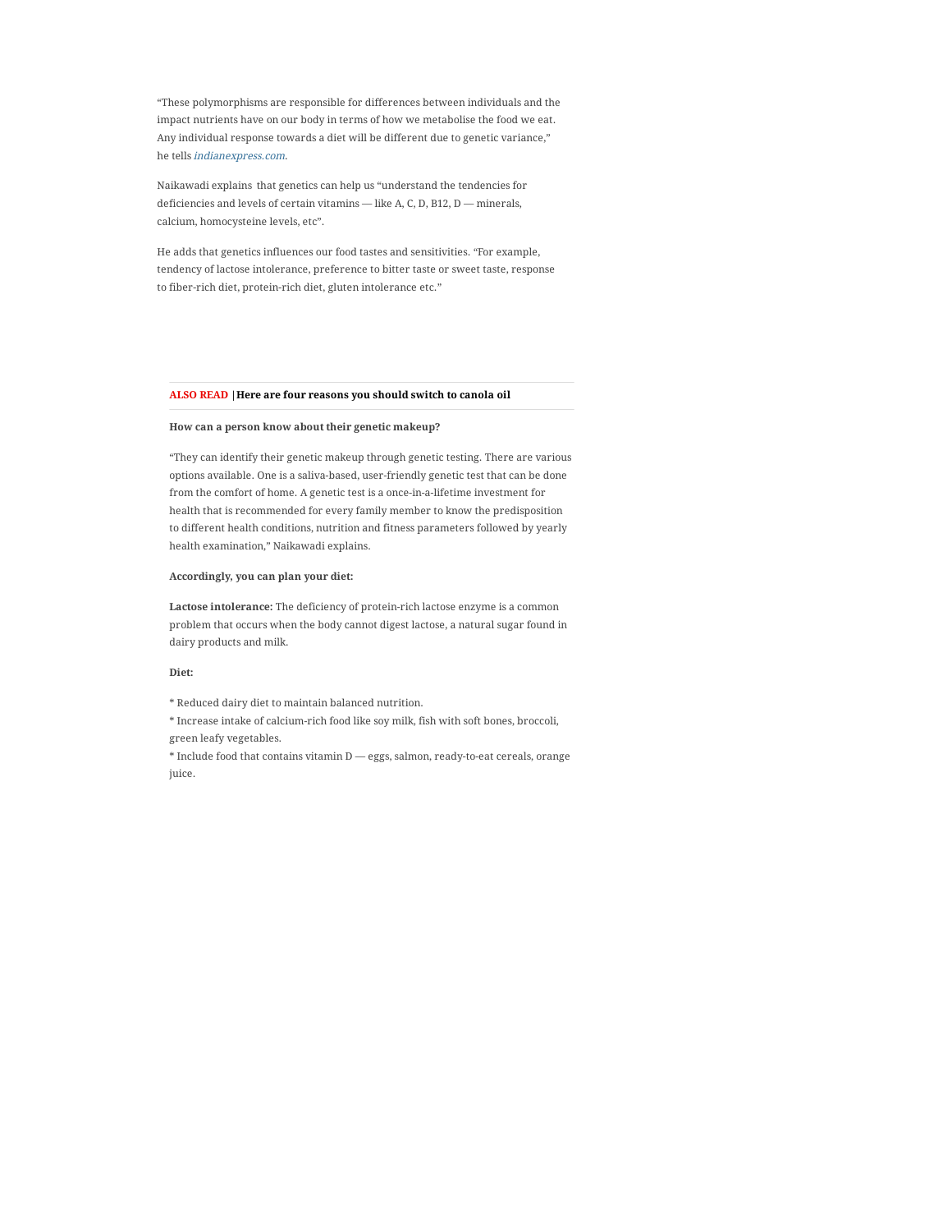"T[hese polymorphisms are respon](https://googleads.g.doubleclick.net/aclk?sa=L&ai=C1bOMlDuRYPHyGduToPwPnaWOgAa17svNYvj8hcroDdrZHhABIMClqyNg6QLIAQapAtaJSA-PDNM94AIAqAMByAObBKoE2AJP0NCFybWPRCWnYZPZgOkvGfDwZSwxRvWUV0ZJi7SxaVmO_RsmNA-pml4YRwxwolngPbKy-vg16kUzA2iIJRzhtrNd9wS3iETZpuNkTOEdp-pcPFmTi79fHPD9D_JsMrzxsmVvy3VuR-9rpAqrkOyWReadKXaSi9GqmB1aKpkZGIssJTX0tEfzFMFfxsiiRIHbHfI2eIhaySs68UwlRwc2YWPUsrKF20FnCLwDrfW3YLZpDrAGd-aVafm1omJ4QXNJngp-6wbXP0GQlbhCHSxVogA52Vk6U3gYxez9iMlLQys0o1o341RWlth19mGV31X0MNuXihYQXZ1du1-bI0Ctve45TT7zQFZtr1RnCDBE-w0qSxsuj5eYc_oaz28JREVGMAlcxSZq9YjiPmAEQS9ulKd4-3uNUpwEIhLvhxnfVXajRyKnCdNY1JAU-HFOGcHsDeKIzQ4zxMAEyP-brLsD4AQBoAY3gAep15moAqgH1ckbqAfw2RuoB_LZG6gHjs4bqAeT2BuoB7oGqAfulrECqAemvhuoB-zVG6gH89EbqAfs1RuoB5bYG9gHAdIICQiA4YBAEAEYHbEJcfKGnti7rUWACgOYCwHICwHYEwOIFAQ&ae=1&num=1&cid=CAASPeRoHrGtACg-6NbBE0S0teFTXegh7vgQDT2rLyFlfMkQ9RuLeinHfnfDgSR3naFzjY57C_wRxhT9WFPNMmA&sig=AOD64_0P4aExhAAhxX2sAxNaalhz0OHaZg&client=ca-pub-5227748429508049&adurl=https://shopee.co.id/shop/17912370/search/%3FshopCollection%3D12102880)si[ble for differences between individuals and the](https://googleads.g.doubleclick.net/aclk?sa=L&ai=C1bOMlDuRYPHyGduToPwPnaWOgAa17svNYvj8hcroDdrZHhABIMClqyNg6QLIAQapAtaJSA-PDNM94AIAqAMByAObBKoE2AJP0NCFybWPRCWnYZPZgOkvGfDwZSwxRvWUV0ZJi7SxaVmO_RsmNA-pml4YRwxwolngPbKy-vg16kUzA2iIJRzhtrNd9wS3iETZpuNkTOEdp-pcPFmTi79fHPD9D_JsMrzxsmVvy3VuR-9rpAqrkOyWReadKXaSi9GqmB1aKpkZGIssJTX0tEfzFMFfxsiiRIHbHfI2eIhaySs68UwlRwc2YWPUsrKF20FnCLwDrfW3YLZpDrAGd-aVafm1omJ4QXNJngp-6wbXP0GQlbhCHSxVogA52Vk6U3gYxez9iMlLQys0o1o341RWlth19mGV31X0MNuXihYQXZ1du1-bI0Ctve45TT7zQFZtr1RnCDBE-w0qSxsuj5eYc_oaz28JREVGMAlcxSZq9YjiPmAEQS9ulKd4-3uNUpwEIhLvhxnfVXajRyKnCdNY1JAU-HFOGcHsDeKIzQ4zxMAEyP-brLsD4AQBoAY3gAep15moAqgH1ckbqAfw2RuoB_LZG6gHjs4bqAeT2BuoB7oGqAfulrECqAemvhuoB-zVG6gH89EbqAfs1RuoB5bYG9gHAdIICQiA4YBAEAEYHbEJcfKGnti7rUWACgOYCwHICwHYEwOIFAQ&ae=1&num=1&cid=CAASPeRoHrGtACg-6NbBE0S0teFTXegh7vgQDT2rLyFlfMkQ9RuLeinHfnfDgSR3naFzjY57C_wRxhT9WFPNMmA&sig=AOD64_0P4aExhAAhxX2sAxNaalhz0OHaZg&client=ca-pub-5227748429508049&adurl=https://shopee.co.id/shop/17912370/search/%3FshopCollection%3D12102880)  impact nutrients have on our body in terms of how we metabolise the food we eat. An[y ind](https://googleads.g.doubleclick.net/aclk?sa=L&ai=C1bOMlDuRYPHyGduToPwPnaWOgAa17svNYvj8hcroDdrZHhABIMClqyNg6QLIAQapAtaJSA-PDNM94AIAqAMByAObBKoE2AJP0NCFybWPRCWnYZPZgOkvGfDwZSwxRvWUV0ZJi7SxaVmO_RsmNA-pml4YRwxwolngPbKy-vg16kUzA2iIJRzhtrNd9wS3iETZpuNkTOEdp-pcPFmTi79fHPD9D_JsMrzxsmVvy3VuR-9rpAqrkOyWReadKXaSi9GqmB1aKpkZGIssJTX0tEfzFMFfxsiiRIHbHfI2eIhaySs68UwlRwc2YWPUsrKF20FnCLwDrfW3YLZpDrAGd-aVafm1omJ4QXNJngp-6wbXP0GQlbhCHSxVogA52Vk6U3gYxez9iMlLQys0o1o341RWlth19mGV31X0MNuXihYQXZ1du1-bI0Ctve45TT7zQFZtr1RnCDBE-w0qSxsuj5eYc_oaz28JREVGMAlcxSZq9YjiPmAEQS9ulKd4-3uNUpwEIhLvhxnfVXajRyKnCdNY1JAU-HFOGcHsDeKIzQ4zxMAEyP-brLsD4AQBoAY3gAep15moAqgH1ckbqAfw2RuoB_LZG6gHjs4bqAeT2BuoB7oGqAfulrECqAemvhuoB-zVG6gH89EbqAfs1RuoB5bYG9gHAdIICQiA4YBAEAEYHbEJcfKGnti7rUWACgOYCwHICwHYEwOIFAQ&ae=1&num=1&cid=CAASPeRoHrGtACg-6NbBE0S0teFTXegh7vgQDT2rLyFlfMkQ9RuLeinHfnfDgSR3naFzjY57C_wRxhT9WFPNMmA&sig=AOD64_0P4aExhAAhxX2sAxNaalhz0OHaZg&client=ca-pub-5227748429508049&adurl=https://shopee.co.id/shop/17912370/search/%3FshopCollection%3D12102880)ividual response towards a diet will be different due to genetic varia[nce,"](https://googleads.g.doubleclick.net/aclk?sa=L&ai=C1bOMlDuRYPHyGduToPwPnaWOgAa17svNYvj8hcroDdrZHhABIMClqyNg6QLIAQapAtaJSA-PDNM94AIAqAMByAObBKoE2AJP0NCFybWPRCWnYZPZgOkvGfDwZSwxRvWUV0ZJi7SxaVmO_RsmNA-pml4YRwxwolngPbKy-vg16kUzA2iIJRzhtrNd9wS3iETZpuNkTOEdp-pcPFmTi79fHPD9D_JsMrzxsmVvy3VuR-9rpAqrkOyWReadKXaSi9GqmB1aKpkZGIssJTX0tEfzFMFfxsiiRIHbHfI2eIhaySs68UwlRwc2YWPUsrKF20FnCLwDrfW3YLZpDrAGd-aVafm1omJ4QXNJngp-6wbXP0GQlbhCHSxVogA52Vk6U3gYxez9iMlLQys0o1o341RWlth19mGV31X0MNuXihYQXZ1du1-bI0Ctve45TT7zQFZtr1RnCDBE-w0qSxsuj5eYc_oaz28JREVGMAlcxSZq9YjiPmAEQS9ulKd4-3uNUpwEIhLvhxnfVXajRyKnCdNY1JAU-HFOGcHsDeKIzQ4zxMAEyP-brLsD4AQBoAY3gAep15moAqgH1ckbqAfw2RuoB_LZG6gHjs4bqAeT2BuoB7oGqAfulrECqAemvhuoB-zVG6gH89EbqAfs1RuoB5bYG9gHAdIICQiA4YBAEAEYHbEJcfKGnti7rUWACgOYCwHICwHYEwOIFAQ&ae=1&num=1&cid=CAASPeRoHrGtACg-6NbBE0S0teFTXegh7vgQDT2rLyFlfMkQ9RuLeinHfnfDgSR3naFzjY57C_wRxhT9WFPNMmA&sig=AOD64_0P4aExhAAhxX2sAxNaalhz0OHaZg&client=ca-pub-5227748429508049&adurl=https://shopee.co.id/shop/17912370/search/%3FshopCollection%3D12102880)  he tells [indianexpress.com](https://indianexpress.com/).

Naikawadi explains that genetics can help us "understand the tendencies for deficiencies and levels of certain vitamins — like A, C, D, B12, D — minerals, calcium, homocysteine levels, etc".

He adds that genetics influences our food tastes and sensitivities. "For example, tendency of lactose intolerance, preference to bitter taste or sweet taste, response to fiber-rich diet, protein-rich diet, gluten intolerance etc."

#### **ALSO READ [|Here are four reasons you should switch to canola oil](https://indianexpress.com/article/lifestyle/health/here-are-4-reasons-why-you-should-switch-to-canola-oil-7285833/)**

#### **How can a person know about their genetic makeup?**

"They can identify their genetic makeup through genetic testing. There are various options available. One is a saliva-based, user-friendly genetic test that can be done from the comfort of home. A genetic test is a once-in-a-lifetime investment for health that is recommended for every family member to know the predisposition to different health conditions, nutrition and fitness parameters followed by yearly health examination," Naikawadi explains.

## **Accordingly, you can plan your diet:**

**Lactose intolerance:** The deficiency of protein-rich lactose enzyme is a common problem that occurs when the body cannot digest lactose, a natural sugar found in dairy products and milk.

#### **Diet:**

\* Reduced dairy diet to maintain balanced nutrition.

\* Increase intake of calcium-rich food like soy milk, fish with soft bones, broccoli, green leafy vegetables.

\* Include food that contains vitamin D — eggs, salmon, ready-to-eat cereals, orange juice.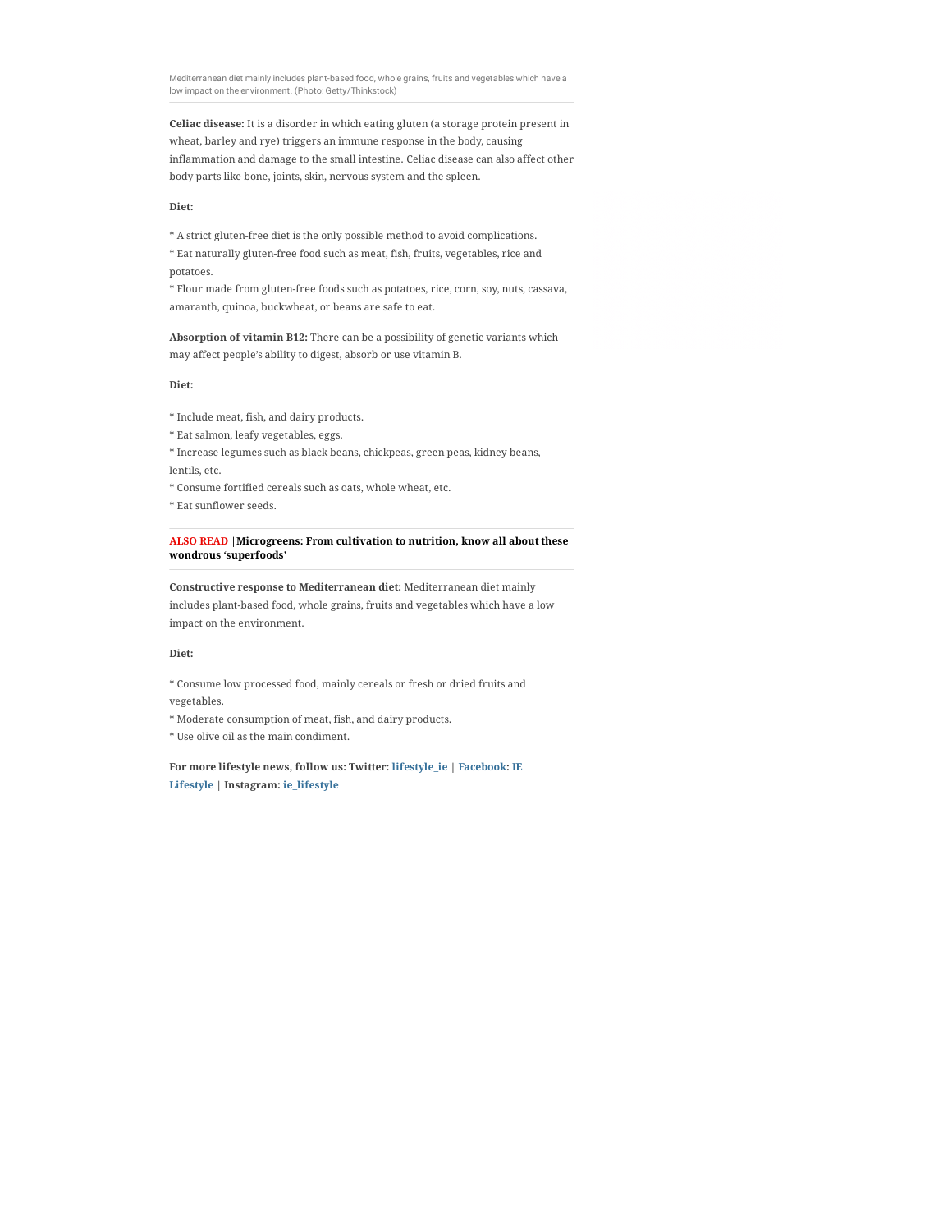Mediterranean diet mainly includes plant-based food, whole grains, fruits and vegetables which have a low impact on the environment. (Photo: Getty/Thinkstock)

**Celiac disease:** It is a disorder in which eating gluten (a storage protein present in wheat, barley and rye) triggers an immune response in the body, causing inflammation and damage to the small intestine. Celiac disease can also affect other body parts like bone, joints, skin, nervous system and the spleen.

### **Diet:**

\* A strict gluten-free diet is the only possible method to avoid complications. \* Eat naturally gluten-free food such as meat, fish, fruits, vegetables, rice and potatoes.

\* Flour made from gluten-free foods such as potatoes, rice, corn, soy, nuts, cassava, amaranth, quinoa, buckwheat, or beans are safe to eat.

**Absorption of vitamin B12:** There can be a possibility of genetic variants which may affect people's ability to digest, absorb or use vitamin B.

## **Diet:**

- \* Include meat, fish, and dairy products.
- \* Eat salmon, leafy vegetables, eggs.

\* Increase legumes such as black beans, chickpeas, green peas, kidney beans, lentils, etc.

\* Consume fortified cereals such as oats, whole wheat, etc.

\* Eat sunflower seeds.

**ALSO READ |Microgreens: From cultivation to nutrition, know all about these wondrous 'superfoods'**

**Constructive response to Mediterranean diet:** Mediterranean diet mainly includes plant-based food, whole grains, fruits and vegetables which have a low impact on the environment.

## **Diet:**

\* Consume low processed food, mainly cereals or fresh or dried fruits and

vegetables.

\* Moderate consumption of meat, fish, and dairy products.

\* Use olive oil as the main condiment.

**For more lifestyle news, follow us: Twitter: lifestyle\_ie | Facebook: IE Lifestyle | Instagram: ie\_lifestyle**